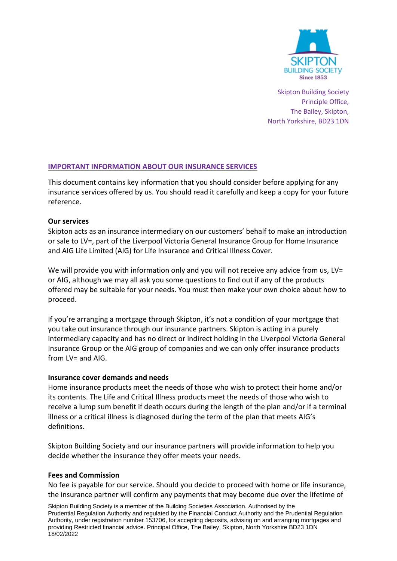

Skipton Building Society Principle Office, The Bailey, Skipton, North Yorkshire, BD23 1DN

# **IMPORTANT INFORMATION ABOUT OUR INSURANCE SERVICES**

This document contains key information that you should consider before applying for any insurance services offered by us. You should read it carefully and keep a copy for your future reference.

## **Our services**

Skipton acts as an insurance intermediary on our customers' behalf to make an introduction or sale to LV=, part of the Liverpool Victoria General Insurance Group for Home Insurance and AIG Life Limited (AIG) for Life Insurance and Critical Illness Cover.

We will provide you with information only and you will not receive any advice from us, LV= or AIG, although we may all ask you some questions to find out if any of the products offered may be suitable for your needs. You must then make your own choice about how to proceed.

If you're arranging a mortgage through Skipton, it's not a condition of your mortgage that you take out insurance through our insurance partners. Skipton is acting in a purely intermediary capacity and has no direct or indirect holding in the Liverpool Victoria General Insurance Group or the AIG group of companies and we can only offer insurance products from  $LV =$  and AIG.

### **Insurance cover demands and needs**

Home insurance products meet the needs of those who wish to protect their home and/or its contents. The Life and Critical Illness products meet the needs of those who wish to receive a lump sum benefit if death occurs during the length of the plan and/or if a terminal illness or a critical illness is diagnosed during the term of the plan that meets AIG's definitions.

Skipton Building Society and our insurance partners will provide information to help you decide whether the insurance they offer meets your needs.

### **Fees and Commission**

No fee is payable for our service. Should you decide to proceed with home or life insurance, the insurance partner will confirm any payments that may become due over the lifetime of

Skipton Building Society is a member of the Building Societies Association. Authorised by the Prudential Regulation Authority and regulated by the Financial Conduct Authority and the Prudential Regulation Authority, under registration number 153706, for accepting deposits, advising on and arranging mortgages and providing Restricted financial advice. Principal Office, The Bailey, Skipton, North Yorkshire BD23 1DN 18/02/2022